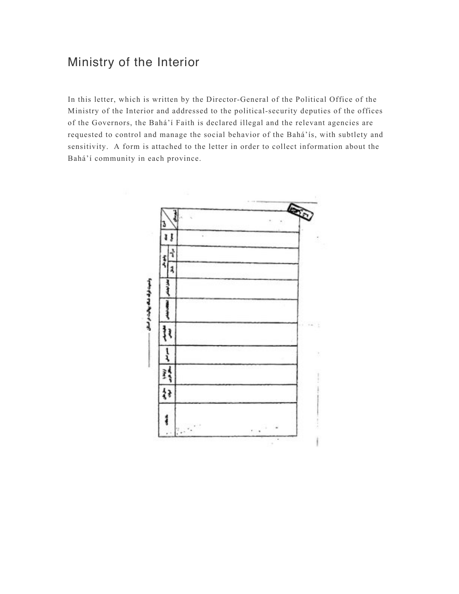## Ministry of the Interior

In this letter, which is written by the Director-General of the Political Office of the Ministry of the Interior and addressed to the political-security deputies of the offices of the Governors, the Bahá'í Faith is declared illegal and the relevant agencies are requested to control and manage the social behavior of the Bahá'ís, with subtlety and sensitivity. A form is attached to the letter in order to collect information about the Bahá'í community in each province.

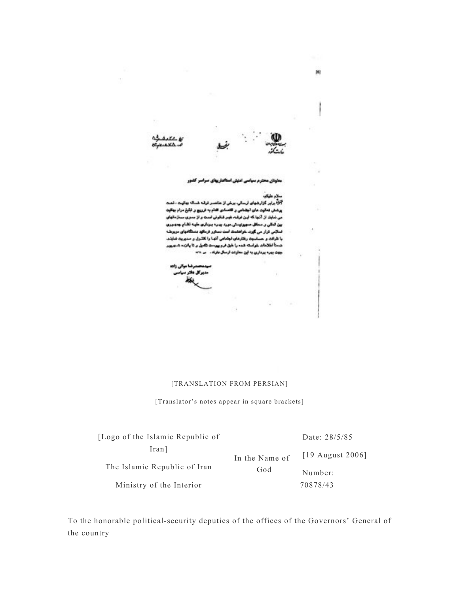

 $\alpha$ 

معاونان محترم سياسى امليلى استألماريهاى سرا

## سلام طيكو

i.

V

آلود.<br>آلود برابر گزارشهای ارسالی، برخی از مناسب فرقه شد.اله بهانیت ، تمت پرشش ضالون مان لیشامی و کلسادی افتام به ترووج و تبلغ مرام بهالونه می ندایند از آنجا که این فرقبه غویر قناوش است و از ستری سنازمانهای ین آبائی و سٹال منہوزینٹی مورد ہیں: پرباری طہه تقام جدوری ئىلاس ئرار س گۆرد. باراملىڭ لىت بىيارر ترىكھ بىنىگاميان بريزىلە با تاراده و مساسیته رفتارهای لیشامی آنها را کللرل و منهریته تعایند. شمناً لثلامات غراسته شده را خبل فرم پیرست تکمل ر تا پانزده شدر پر جهڻ ٻهره پرداري به آيڻ معاونت ارسال مارڪ . س ٢٠١٠

مرضا مواتي زاده

## [TRANSLATION FROM PERSIAN]

 $\lambda$ 

[Translator's notes appear in square brackets]

| [Logo of the Islamic Republic of]                 |                | Date: 28/5/85      |
|---------------------------------------------------|----------------|--------------------|
| Iran <sub>l</sub><br>The Islamic Republic of Iran | In the Name of | $[19$ August 2006] |
|                                                   | God            | Number:            |
| Ministry of the Interior                          |                | 70878/43           |

To the honorable political-security deputies of the offices of the Governors' General of the country

S.

s,